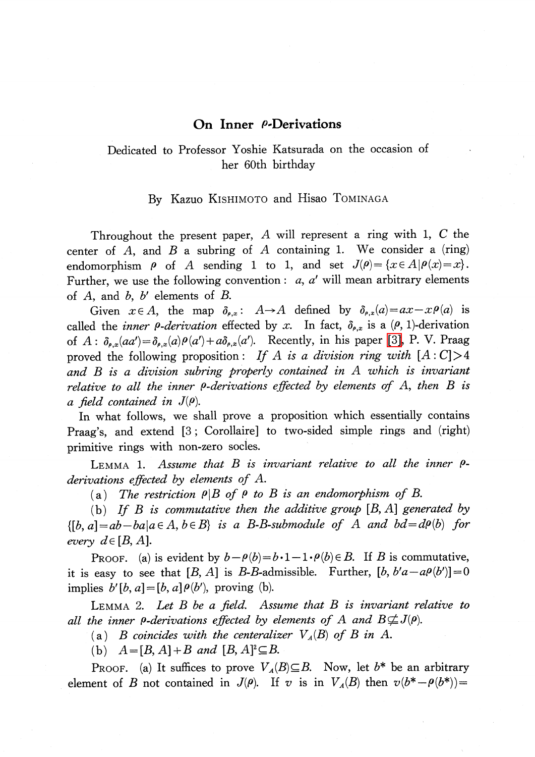## On Inner *(-Derivations*

## Dedicated to Professor Yoshie Katsurada on the occasion of her 60th birthday

## By Kazuo KISHIMOTO and Hisao TOMINAGA

Throughout the present paper,  $A$  will represent a ring with 1,  $C$  the center of  $A$ , and  $B$  a subring of  $A$  containing 1. We consider a (ring) endomorphism  $\rho$  of A sending 1 to 1, and set  $J(\rho)=\{x\in A|\rho(x)=x\}$ . Further, we use the following convention:  $a, a'$  will mean arbitrary elements of  $A$ , and  $b$ ,  $b'$  elements of  $B$ .

Given  $x\in A$ , the map  $\delta_{\rho,x}$ :  $A\rightarrow A$  defined by  $\delta_{\rho,x}(a)=ax-x\rho(a)$  is called the *inner*  $\rho$ *-derivation* effected by x. In fact,  $\delta_{\rho,x}$  is a ( $\rho$ , 1)-derivation of  $A : \delta_{\rho,x}(aa')=\delta_{\rho,x}(a)\rho(a')+a\delta_{\rho,x}(a')$ . Recently, in his paper [\[3\],](#page-3-0) P. V. Praag proved the following proposition: If A is a division ring with  $[A:C] > 4$ and B is a division subring properly contained in A which is invariant relative to all the inner  $\rho$ -derivations effected by elements of A, then B is a field contained in  $J(\rho)$ .

In what follows, we shall prove a proposition which essentially contains Praag's, and extend [3; Corollaire] to two-sided simple rings and (right) primitive rings with non-zero socles.

<span id="page-0-0"></span>LEMMA 1. Assume that  $B$  is invariant relative to all the inner  $\rho$ derivations effected by elements of A.

(a) The restriction  $\rho|B$  of  $\rho$  to B is an endomorphism of B.

(b) If B is commutative then the additive group  $[B, A]$  generated by  $\{[b, a] = ab - ba | a \in A, b \in B\}$  is a B-B-submodule of A and  $bd = d\rho(b)$  for every  $d\in[B, A]$ .

PROOF. (a) is evident by  $b-\rho(b)=b\cdot 1-1\cdot\rho(b)\in B$ . If B is commutative, it is easy to see that [B, A] is B-B-admissible. Further,  $[b, b'a-a\varrho(b')] = 0$ implies  $b'[b, a] = [b, a]\rho(b')$ , proving (b).

<span id="page-0-1"></span>LEMMA 2. Let  $B$  be a field. Assume that  $B$  is invariant relative to all the inner  $\rho$ -derivations effected by elements of A and  $B \not\subseteq J(\rho)$ .

(a) B coincides with the centeralizer  $V_{A}(B)$  of B in A.

(b)  $A=[B, A]+B$  and  $[B, A]^{2}\subseteq B$ .

PROOF. (a) It suffices to prove  $V_A(B) \subseteq B$ . Now, let  $b^{*}$  be an arbitrary element of B not contained in  $J(\rho)$ . If v is in  $V_{A}(B)$  then  $v(b^{*}-\rho(b^{*}))=$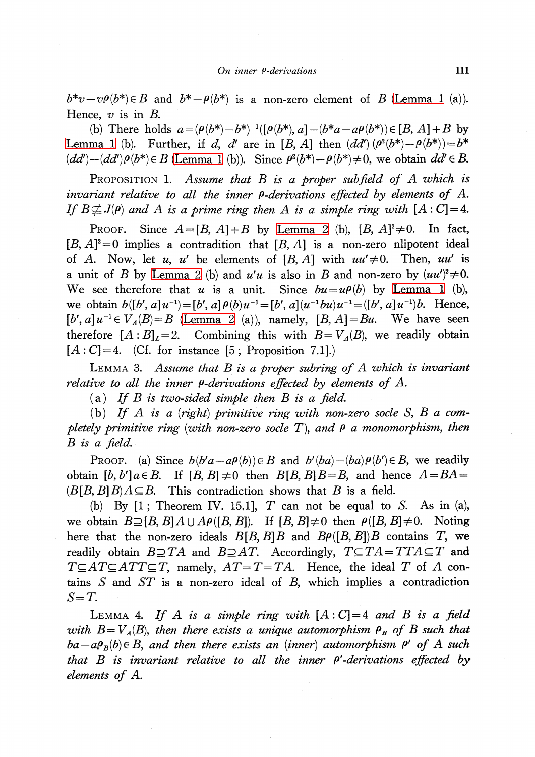$b^{*}v-v\rho(b^{*})\in B$  and  $b^{*}-\rho(b^{*})$  is a non-zero element of B [\(Lemma](#page-0-0) 1 (a)). Hence,  $v$  is in  $B$ .

(b) There holds  $a=(\rho(b^{*})-b^{*})^{-1}([p(b^{*}), a]-(b^{*}a-a\rho(b^{*}))\in[B, A]+B$  by [Lemma](#page-0-0) 1 (b). Further, if d, d' are in [B, A] then  $(dd')(\rho^{2}(b^{*})-\rho(b^{*}))=b^{*}$  $(dd')-(dd')\rho(b^{*})\in B$  [\(Lemma](#page-0-0) 1 (b)). Since  $\rho^{2}(b^{*})-\rho(b^{*})\neq 0$ , we obtain  $dd'\in B$ .

<span id="page-1-2"></span>PROPOSITION 1. Assume that  $B$  is a proper subfield of  $A$  which is invariant relative to all the inner  $\rho$ -derivations effected by elements of A. If  $B\neq{J(\rho)}$  and A is a prime ring then A is a simple ring with  $[A:C]=4$ .

PROOF. Since  $A=[B, A]+B$  by [Lemma](#page-0-1) 2 (b),  $[B, A]^{2}\neq 0$ . In fact,  $[B, A]^{2}=0$  implies a contradition that  $[B, A]$  is a non-zero nlipotent ideal of A. Now, let u, u' be elements of [B, A] with  $uu'\neq 0$ . Then, uu' is a unit of B by [Lemma](#page-0-1) 2 (b) and  $u'u$  is also in B and non-zero by  $(uu')^{2}\neq 0$ . We see therefore that u is a unit. Since  $bu=u\rho(b)$  by [Lemma](#page-0-0) 1 (b), we obtain  $b([b', a]u^{-1})=[b', a]\rho(b)u^{-1}=[b', a](u^{-1}bu)u^{-1}=([b', a]u^{-1})b$ . Hence,  $[b', a]u^{-1}\in V_{A}(B)=B$  [\(Lemma](#page-0-1) 2 (a)), namely,  $[B, A]=Bu$ . We have seen therefore  $[A : B]_{L}=2$ . Combining this with  $B=V_{A}(B)$ , we readily obtain  $[A : C] = 4.$  (Cf. for instance [5; Proposition 7.1].)

<span id="page-1-1"></span>LEMMA 3. Assume that  $B$  is a proper subring of  $A$  which is invariant relative to all the inner  $\rho$ -derivations effected by elements of A.

(a) If B is two-sided simple then B is a field.

(b) If A is a (right) primitive ring with non-zero socle S, B a completely primitive ring (with non-zero socle T), and  $\rho$  a monomorphism, then  $B$  is a field.

PROOF. (a) Since  $b(b'a-a\rho(b))\in B$  and  $b'(ba)-(ba)\rho(b')\in B$ , we readily obtain  $[b, b']$   $a \in B$ . If  $[B, B] \neq 0$  then  $B[B, B]B=B$ , and hence  $A=BA=$  $(B[B, B]B)A\subseteq B$ . This contradiction shows that B is a field.

(b) By  $[1;$  Theorem IV. 15.1, T can not be equal to S. As in (a), we obtain  $B\supseteq[B, B]A\cup A\rho([B, B])$ . If  $[B, B]\neq 0$  then  $\rho([B, B]\neq 0$ . Noting here that the non-zero ideals  $B[B, B]B$  and  $B\rho([B, B])B$  contains T, we readily obtain  $B\!\supseteq\! TA$  and  $B\!\supseteq\! AT$ . Accordingly,  $T\!\subseteq\! TA\!=\!TTA\!\subseteq\! T$  and  $T\subseteq AT\subseteq ATT\subseteq T$ , namely,  $AT=T=TA$ . Hence, the ideal T of A contains  $S$  and  $ST$  is a non-zero ideal of  $B$ , which implies a contradiction  $S=T$ .

<span id="page-1-0"></span>LEMMA 4. If A is a simple ring with  $[A: C] = 4$  and B is a field with  $B=V_{A}(B)$ , then there exists a unique automorphism  $\rho_{B}$  of B such that  $ba-aP_B(b)\in B$ , and then there exists an (inner) automorphism  $\rho'$  of A such that  $B$  is invariant relative to all the inner  $\rho'$ -derivations effected by elements of A.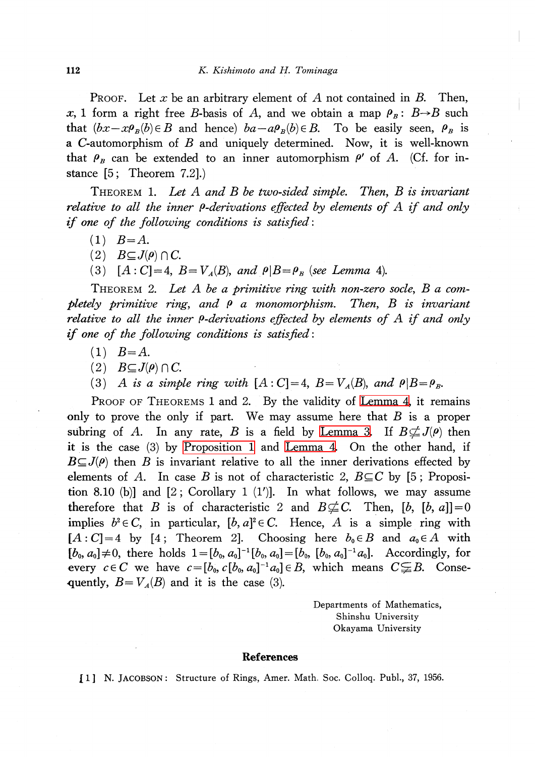PROOF. Let x be an arbitrary element of A not contained in B. Then, x, 1 form a right free B-basis of A, and we obtain a map  $\rho_{B}$ : B $\rightarrow$ B such that  $(bx-x\rho_{B}(b)\in B$  and hence)  $ba-a\rho_{B}(b)\in B$ . To be easily seen,  $\rho_{B}$  is a C-automorphism of B and uniquely determined. Now, it is well-known that  $\rho_{B}$  can be extended to an inner automorphism  $\rho'$  of A. (Cf. for instance [5 ; Theorem 7.2].)

THEOREM 1. Let  $A$  and  $B$  be two-sided simple. Then,  $B$  is invariant relative to all the inner  $\rho$ -derivations effected by elements of  $A$  if and only if one of the following conditions is satisfied:

- $(1)$   $B=A$ .
- $(2)$   $B\subseteq J(\rho)\cap C$ .
- (3)  $[A: C]=4$ ,  $B=V_{A}(B)$ , and  $\rho|B=\rho_{B}$  (see Lemma 4).

THEOREM 2. Let A be a primitive ring with non-zero socle, B a completely primitive ring, and  $\rho$  a monomorphism. Then, B is invariant relative to all the inner  $\rho$ -derivations effected by elements of A if and only if one of the following conditions is satisfied:

- $(1)$   $B = A$ .
- $(2)$   $B\subseteq J(\rho)\cap C$ .
- (3) A is a simple ring with  $[A:C]=4$ ,  $B=V_{A}(B)$ , and  $\rho|B=\rho_{B}$ .

PROOF OF THEOREMS 1 and 2. By the validity of [Lemma](#page-1-0) 4, it remains only to prove the only if part. We may assume here that  $B$  is a proper subring of A. In any rate, B is a field by [Lemma](#page-1-1) 3. If  $B \not\subset J(\rho)$  then it is the case (3) by [Proposition](#page-1-2) <sup>1</sup> and [Lemma](#page-1-0) 4. On the other hand, if  $B\subseteq J(\rho)$  then B is invariant relative to all the inner derivations effected by elements of A. In case B is not of characteristic 2,  $B \subseteq C$  by [5; Proposition 8.10 (b)] and  $[2; Corollary 1 (1')]$ . In what follows, we may assume therefore that B is of characteristic 2 and  $B \not\subseteq C$ . Then,  $[b, [b, a]] = 0$ implies  $b^{2} \in C$ , in particular,  $[b, a]^{2} \in C$ . Hence, A is a simple ring with  $[A: C]=4$  by  $[4;$  Theorem 2]. Choosing here  $b_{0}\in B$  and  $a_{0}\in A$  with  $[b_{0}, a_{0}]\neq 0,$  there holds  $1=[b_{0}, a_{0}]^{-1}[b_{0}, a_{0}]=[b_{0}, [b_{0}, a_{0}]^{-1}a_{0}].$  Accordingly, for every  $c\in C$  we have  $c=[b_{0}, c[b_{0}, a_{0}]^{-1}a_{0}]\in B$ , which means  $C{\subsetneqq}B$ . Consequently,  $B=V_{A}(B)$  and it is the case (3).

> Departments of Mathematics, Shinshu University Okayama University

## References

[1] N. JACOBSON: Structure of Rings, Amer. Math Soc. Colloq. PubL, 37, 1956.